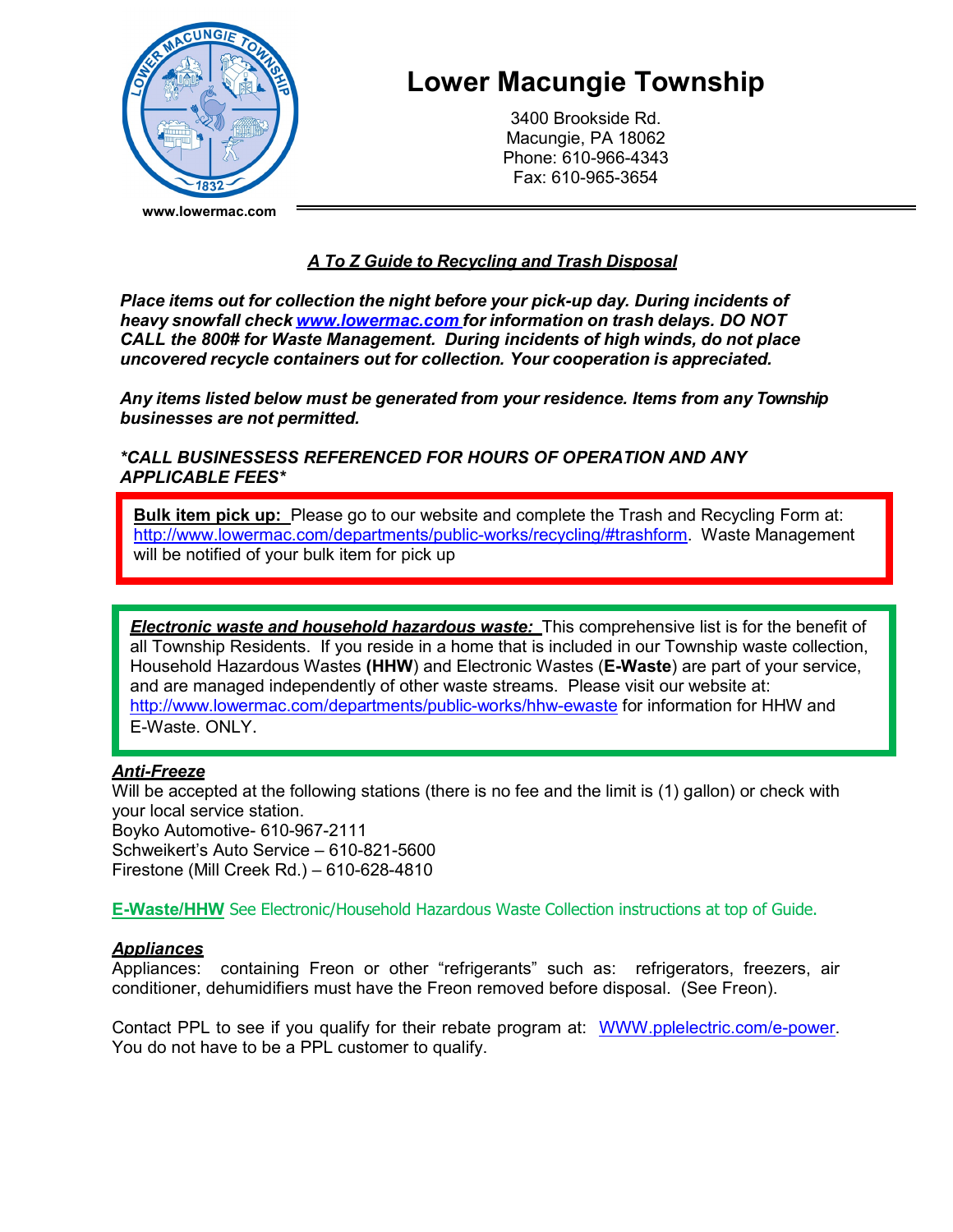

# **Lower Macungie Township**

3400 Brookside Rd. Macungie, PA 18062 Phone: 610-966-4343 Fax: 610-965-3654

# *A To Z Guide to Recycling and Trash Disposal*

*Place items out for collection the night before your pick-up day. During incidents of heavy snowfall check [www.lowermac.com](http://www.lowermac.com/) for information on trash delays. DO NOT CALL the 800# for Waste Management. During incidents of high winds, do not place uncovered recycle containers out for collection. Your cooperation is appreciated.*

*Any items listed below must be generated from your residence. Items from any Township businesses are not permitted.* 

*\*CALL BUSINESSESS REFERENCED FOR HOURS OF OPERATION AND ANY APPLICABLE FEES\**

**Bulk item pick up:** Please go to our website and complete the Trash and Recycling Form at: [http://www.lowermac.com/departments/public-works/recycling/#trashform.](http://www.lowermac.com/departments/public-works/recycling/#trashform) Waste Management will be notified of your bulk item for pick up

*Electronic waste and household hazardous waste:* This comprehensive list is for the benefit of all Township Residents. If you reside in a home that is included in our Township waste collection, Household Hazardous Wastes **(HHW**) and Electronic Wastes (**E-Waste**) are part of your service, and are managed independently of other waste streams. Please visit our website at: http://www.lowermac.com/departments/public-works/hhw-ewaste for information for HHW and E-Waste. ONLY.

# *Anti-Freeze*

Will be accepted at the following stations (there is no fee and the limit is (1) gallon) or check with your local service station. Boyko Automotive- 610-967-2111 Schweikert's Auto Service – 610-821-5600 Firestone (Mill Creek Rd.) – 610-628-4810

**E-Waste/HHW** See Electronic/Household Hazardous Waste Collection instructions at top of Guide.

# *Appliances*

Appliances: containing Freon or other "refrigerants" such as: refrigerators, freezers, air conditioner, dehumidifiers must have the Freon removed before disposal. (See Freon).

Contact PPL to see if you qualify for their rebate program at: [WWW.pplelectric.com/e-power.](http://www.pplelectric.com/e-power) You do not have to be a PPL customer to qualify.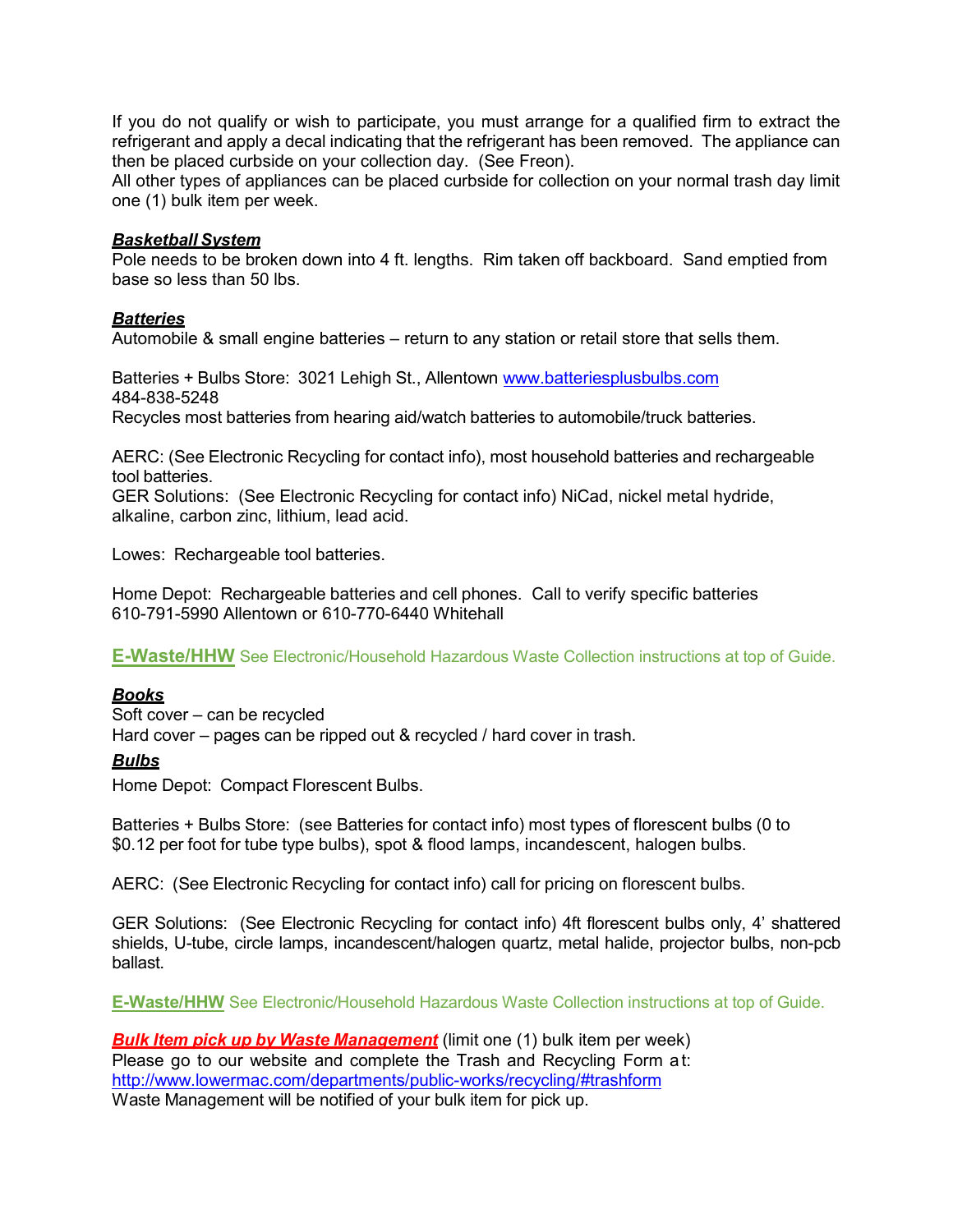If you do not qualify or wish to participate, you must arrange for a qualified firm to extract the refrigerant and apply a decal indicating that the refrigerant has been removed. The appliance can then be placed curbside on your collection day. (See Freon).

All other types of appliances can be placed curbside for collection on your normal trash day limit one (1) bulk item per week.

## *Basketball System*

Pole needs to be broken down into 4 ft. lengths. Rim taken off backboard. Sand emptied from base so less than 50 lbs.

# *Batteries*

Automobile & small engine batteries – return to any station or retail store that sells them.

Batteries + Bulbs Store: 3021 Lehigh St., Allentown [www.batteriesplusbulbs.com](http://www.batteriesplusbulbs.com/) 484-838-5248

Recycles most batteries from hearing aid/watch batteries to automobile/truck batteries.

AERC: (See Electronic Recycling for contact info), most household batteries and rechargeable tool batteries.

GER Solutions: (See Electronic Recycling for contact info) NiCad, nickel metal hydride, alkaline, carbon zinc, lithium, lead acid.

Lowes: Rechargeable tool batteries.

Home Depot: Rechargeable batteries and cell phones. Call to verify specific batteries 610-791-5990 Allentown or 610-770-6440 Whitehall

**E-Waste/HHW** See Electronic/Household Hazardous Waste Collection instructions at top of Guide.

# *Books*

Soft cover – can be recycled Hard cover – pages can be ripped out & recycled / hard cover in trash.

# *Bulbs*

Home Depot: Compact Florescent Bulbs.

Batteries + Bulbs Store: (see Batteries for contact info) most types of florescent bulbs (0 to \$0.12 per foot for tube type bulbs), spot & flood lamps, incandescent, halogen bulbs.

AERC: (See Electronic Recycling for contact info) call for pricing on florescent bulbs.

GER Solutions: (See Electronic Recycling for contact info) 4ft florescent bulbs only, 4' shattered shields, U-tube, circle lamps, incandescent/halogen quartz, metal halide, projector bulbs, non-pcb ballast.

**E-Waste/HHW** See Electronic/Household Hazardous Waste Collection instructions at top of Guide.

*Bulk Item pick up by Waste Management* (limit one (1) bulk item per week) Please go to our website and complete the Trash and Recycling Form at: <http://www.lowermac.com/departments/public-works/recycling/#trashform> Waste Management will be notified of your bulk item for pick up.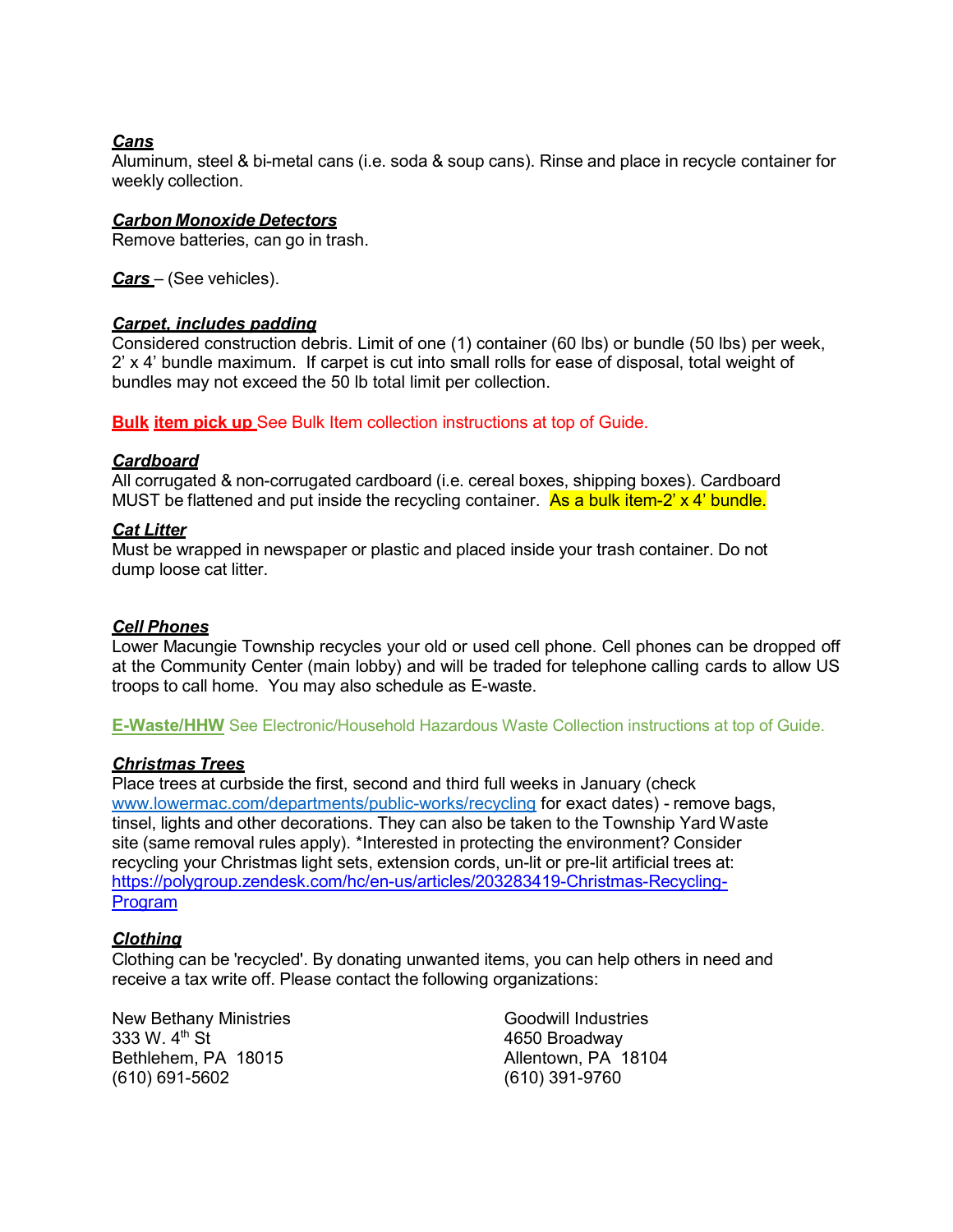# *Cans*

Aluminum, steel & bi-metal cans (i.e. soda & soup cans). Rinse and place in recycle container for weekly collection.

#### *Carbon Monoxide Detectors*

Remove batteries, can go in trash.

*Cars* – (See vehicles).

#### *Carpet, includes padding*

Considered construction debris. Limit of one (1) container (60 lbs) or bundle (50 lbs) per week, 2' x 4' bundle maximum. If carpet is cut into small rolls for ease of disposal, total weight of bundles may not exceed the 50 lb total limit per collection.

**Bulk item pick up** See Bulk Item collection instructions at top of Guide.

#### *Cardboard*

All corrugated & non-corrugated cardboard (i.e. cereal boxes, shipping boxes). Cardboard MUST be flattened and put inside the recycling container. As a bulk item-2' x 4' bundle.

## *Cat Litter*

Must be wrapped in newspaper or plastic and placed inside your trash container. Do not dump loose cat litter.

#### *Cell Phones*

Lower Macungie Township recycles your old or used cell phone. Cell phones can be dropped off at the Community Center (main lobby) and will be traded for telephone calling cards to allow US troops to call home. You may also schedule as E-waste.

**E-Waste/HHW** See Electronic/Household Hazardous Waste Collection instructions at top of Guide.

#### *Christmas Trees*

Place trees at curbside the first, second and third full weeks in January (check [www.lowermac.com/departments/public-works/recycling](http://www.lowermac.com/departments/public-works/recycling) for exact dates) - remove bags, tinsel, lights and other decorations. They can also be taken to the Township Yard Waste site (same removal rules apply). \*Interested in protecting the environment? Consider recycling your Christmas light sets, extension cords, un-lit or pre-lit artificial trees at: https://polygroup.zendesk.com/hc/en-us/articles/203283419-Christmas-Recycling-**Program** 

## *Clothing*

Clothing can be 'recycled'. By donating unwanted items, you can help others in need and receive a tax write off. Please contact the following organizations:

New Bethany Ministries  $\overline{333}$  W.  $4^{\text{th}}$  St Goodwill Industries  $\overline{333}$  W.  $4^{\text{th}}$  St Bethlehem, PA 18015 **Allentown**, PA 18104 (610) 691-5602 (610) 391-9760

4650 Broadway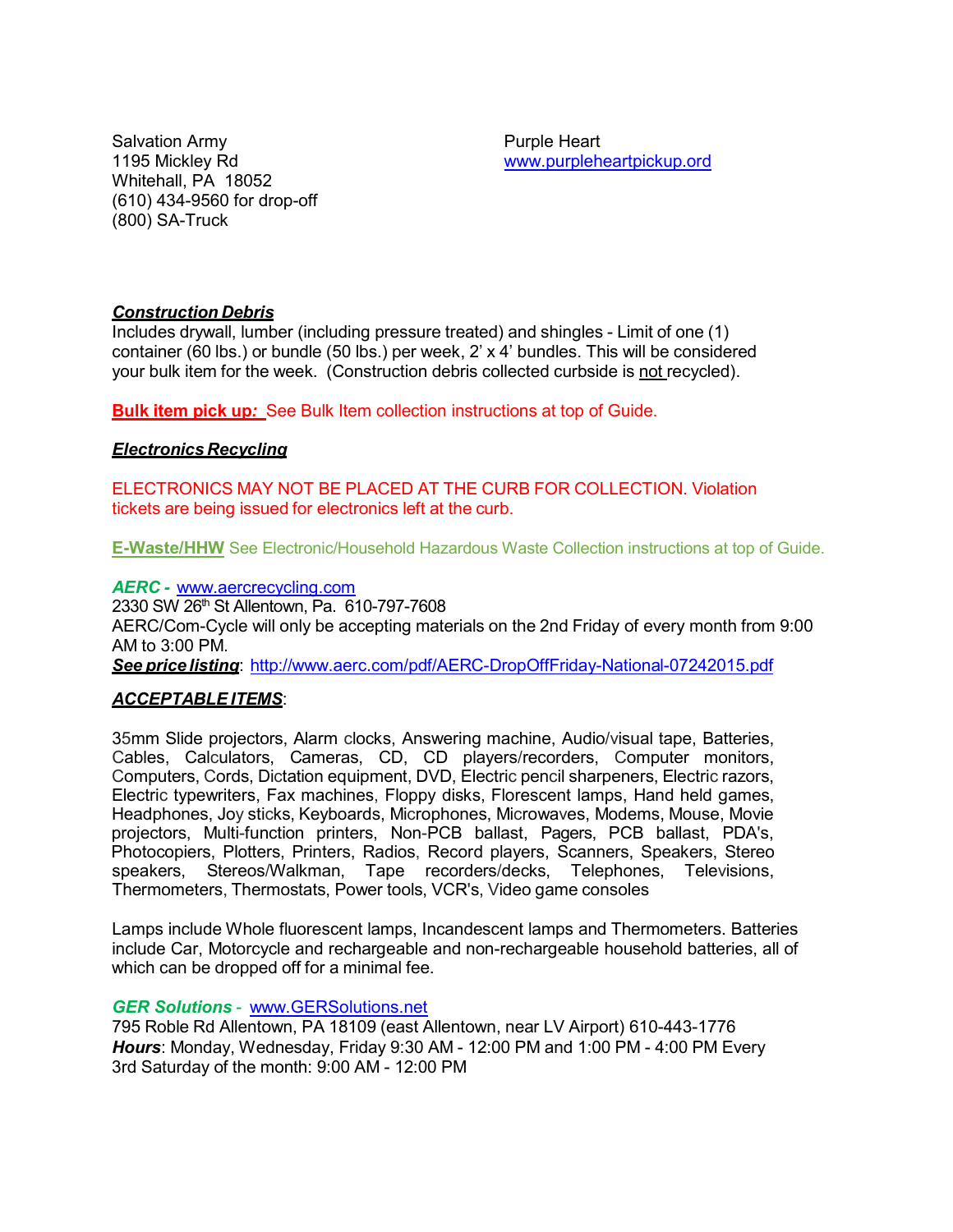Salvation Army **Purple Heart** Whitehall, PA 18052 (610) 434-9560 for drop-off (800) SA-Truck

1195 Mickley Rd [www.purpleheartpickup.ord](http://www.purpleheartpickup.ord/)

# *Construction Debris*

Includes drywall, lumber (including pressure treated) and shingles - Limit of one (1) container (60 lbs.) or bundle (50 lbs.) per week, 2' x 4' bundles. This will be considered your bulk item for the week. (Construction debris collected curbside is not recycled).

**Bulk item pick up***:* See Bulk Item collection instructions at top of Guide.

# *Electronics Recycling*

ELECTRONICS MAY NOT BE PLACED AT THE CURB FOR COLLECTION. Violation tickets are being issued for electronics left at the curb.

**E-Waste/HHW** See Electronic/Household Hazardous Waste Collection instructions at top of Guide.

#### *AERC -* [www.aercrecycling.com](http://www.aercrecycling.com/)

2330 SW 26th St Allentown, Pa. 610-797-7608 AERC/Com-Cycle will only be accepting materials on the 2nd Friday of every month from 9:00 AM to 3:00 PM. *See price listing*: <http://www.aerc.com/pdf/AERC-DropOffFriday-National-07242015.pdf>

# *ACCEPTABLE ITEMS*:

35mm Slide projectors, Alarm clocks, Answering machine, Audio/visual tape, Batteries, Cables, Calculators, Cameras, CD, CD players/recorders, Computer monitors, Computers, Cords, Dictation equipment, DVD, Electric pencil sharpeners, Electric razors, Electric typewriters, Fax machines, Floppy disks, Florescent lamps, Hand held games, Headphones, Joy sticks, Keyboards, Microphones, Microwaves, Modems, Mouse, Movie projectors, Multi-function printers, Non-PCB ballast, Pagers, PCB ballast, PDA's, Photocopiers, Plotters, Printers, Radios, Record players, Scanners, Speakers, Stereo speakers, Stereos/Walkman, Tape recorders/decks, Telephones, Televisions, Thermometers, Thermostats, Power tools, VCR's, Video game consoles

Lamps include Whole fluorescent lamps, Incandescent lamps and Thermometers. Batteries include Car, Motorcycle and rechargeable and non-rechargeable household batteries, all of which can be dropped off for a minimal fee.

## *GER Solutions* - www.GERSolutions.net

795 Roble Rd Allentown, PA 18109 (east Allentown, near LV Airport) 610-443-1776 *Hours*: Monday, Wednesday, Friday 9:30 AM - 12:00 PM and 1:00 PM - 4:00 PM Every 3rd Saturday of the month: 9:00 AM - 12:00 PM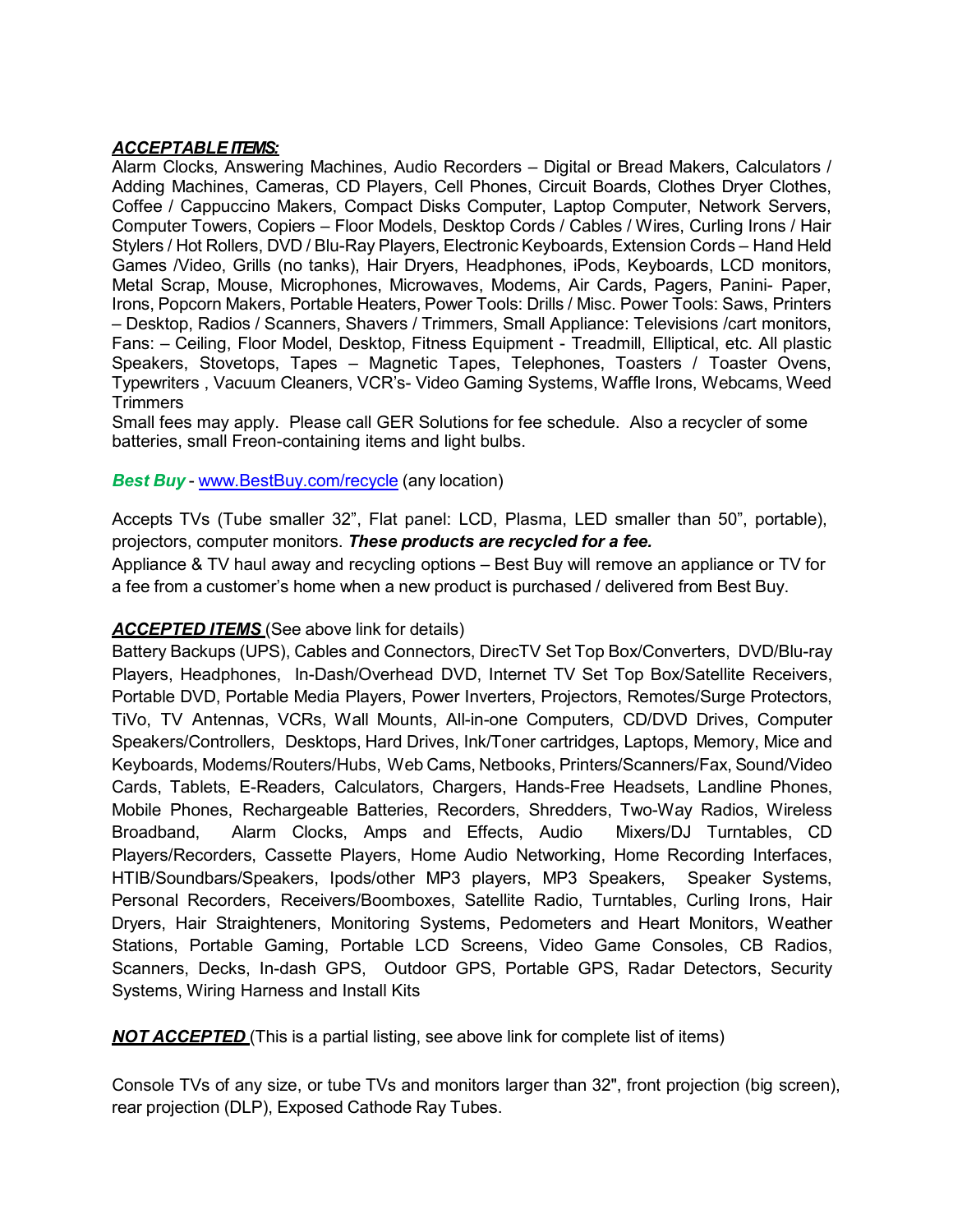# *ACCEPTABLE ITEMS:*

Alarm Clocks, Answering Machines, Audio Recorders – Digital or Bread Makers, Calculators / Adding Machines, Cameras, CD Players, Cell Phones, Circuit Boards, Clothes Dryer Clothes, Coffee / Cappuccino Makers, Compact Disks Computer, Laptop Computer, Network Servers, Computer Towers, Copiers – Floor Models, Desktop Cords / Cables / Wires, Curling Irons / Hair Stylers / Hot Rollers, DVD / Blu-Ray Players, Electronic Keyboards, Extension Cords – Hand Held Games /Video, Grills (no tanks), Hair Dryers, Headphones, iPods, Keyboards, LCD monitors, Metal Scrap, Mouse, Microphones, Microwaves, Modems, Air Cards, Pagers, Panini- Paper, Irons, Popcorn Makers, Portable Heaters, Power Tools: Drills / Misc. Power Tools: Saws, Printers – Desktop, Radios / Scanners, Shavers / Trimmers, Small Appliance: Televisions /cart monitors, Fans: – Ceiling, Floor Model, Desktop, Fitness Equipment - Treadmill, Elliptical, etc. All plastic Speakers, Stovetops, Tapes – Magnetic Tapes, Telephones, Toasters / Toaster Ovens, Typewriters , Vacuum Cleaners, VCR's- Video Gaming Systems, Waffle Irons, Webcams, Weed **Trimmers** 

Small fees may apply. Please call GER Solutions for fee schedule. Also a recycler of some batteries, small Freon-containing items and light bulbs.

# *Best Buy* - [www.BestBuy.com/recycle](http://www.bestbuy.com/recycle) (any location)

Accepts TVs (Tube smaller 32", Flat panel: LCD, Plasma, LED smaller than 50", portable), projectors, computer monitors. *These products are recycled for a fee.*

Appliance & TV haul away and recycling options – Best Buy will remove an appliance or TV for a fee from a customer's home when a new product is purchased / delivered from Best Buy.

# *ACCEPTED ITEMS* (See above link for details)

Battery Backups (UPS), Cables and Connectors, DirecTV Set Top Box/Converters, DVD/Blu-ray Players, Headphones, In-Dash/Overhead DVD, Internet TV Set Top Box/Satellite Receivers, Portable DVD, Portable Media Players, Power Inverters, Projectors, Remotes/Surge Protectors, TiVo, TV Antennas, VCRs, Wall Mounts, All-in-one Computers, CD/DVD Drives, Computer Speakers/Controllers, Desktops, Hard Drives, Ink/Toner cartridges, Laptops, Memory, Mice and Keyboards, Modems/Routers/Hubs, Web Cams, Netbooks, Printers/Scanners/Fax, Sound/Video Cards, Tablets, E-Readers, Calculators, Chargers, Hands-Free Headsets, Landline Phones, Mobile Phones, Rechargeable Batteries, Recorders, Shredders, Two-Way Radios, Wireless Broadband, Alarm Clocks, Amps and Effects, Audio Mixers/DJ Turntables, CD Players/Recorders, Cassette Players, Home Audio Networking, Home Recording Interfaces, HTIB/Soundbars/Speakers, Ipods/other MP3 players, MP3 Speakers, Speaker Systems, Personal Recorders, Receivers/Boomboxes, Satellite Radio, Turntables, Curling Irons, Hair Dryers, Hair Straighteners, Monitoring Systems, Pedometers and Heart Monitors, Weather Stations, Portable Gaming, Portable LCD Screens, Video Game Consoles, CB Radios, Scanners, Decks, In-dash GPS, Outdoor GPS, Portable GPS, Radar Detectors, Security Systems, Wiring Harness and Install Kits

**NOT ACCEPTED** (This is a partial listing, see above link for complete list of items)

Console TVs of any size, or tube TVs and monitors larger than 32", front projection (big screen), rear projection (DLP), Exposed Cathode Ray Tubes.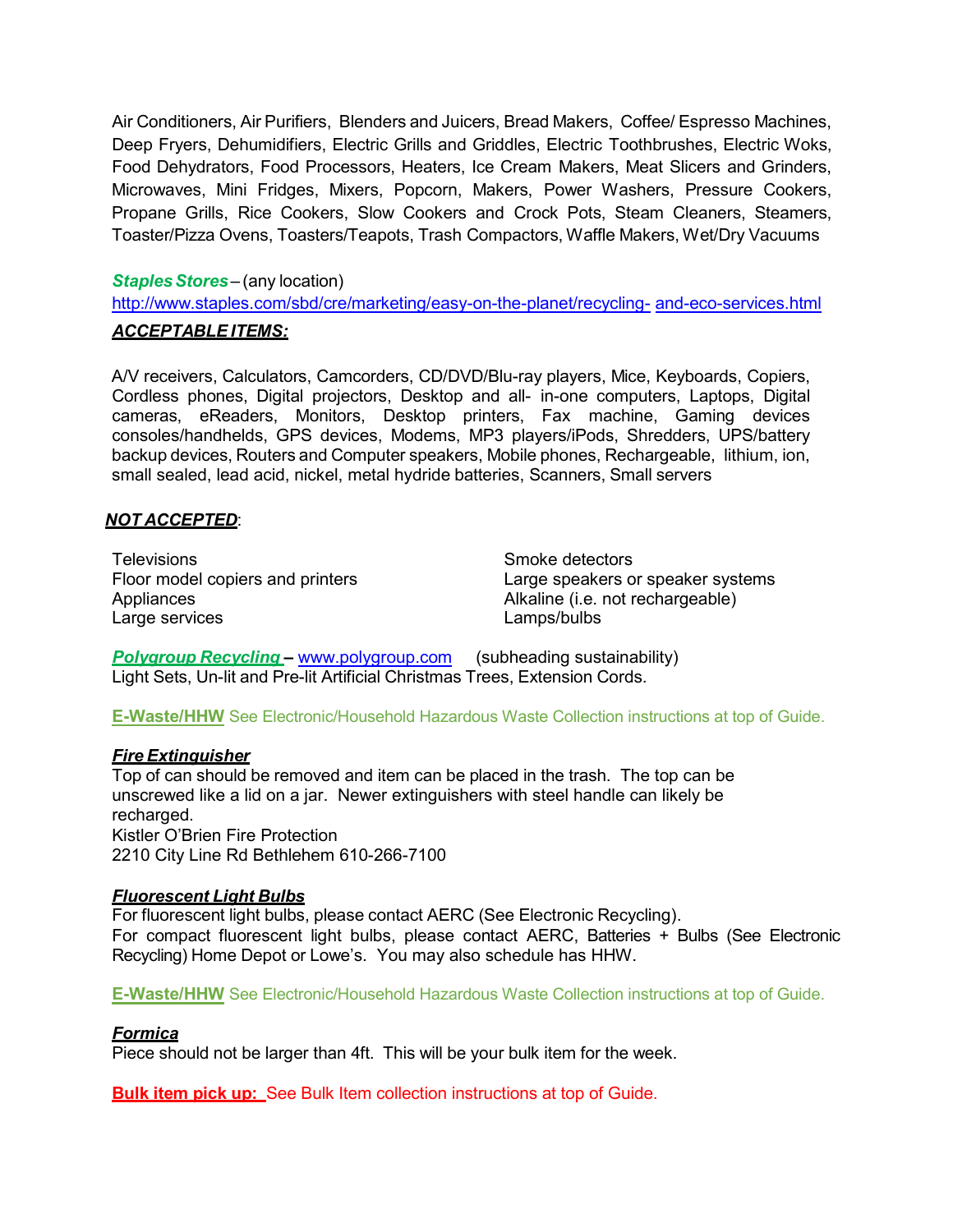Air Conditioners, Air Purifiers, Blenders and Juicers, Bread Makers, Coffee/ Espresso Machines, Deep Fryers, Dehumidifiers, Electric Grills and Griddles, Electric Toothbrushes, Electric Woks, Food Dehydrators, Food Processors, Heaters, Ice Cream Makers, Meat Slicers and Grinders, Microwaves, Mini Fridges, Mixers, Popcorn, Makers, Power Washers, Pressure Cookers, Propane Grills, Rice Cookers, Slow Cookers and Crock Pots, Steam Cleaners, Steamers, Toaster/Pizza Ovens, Toasters/Teapots, Trash Compactors, Waffle Makers, Wet/Dry Vacuums

# **Staples Stores** – (any location)

<http://www.staples.com/sbd/cre/marketing/easy-on-the-planet/recycling-> and-eco-services.html

## *ACCEPTABLE ITEMS:*

A/V receivers, Calculators, Camcorders, CD/DVD/Blu-ray players, Mice, Keyboards, Copiers, Cordless phones, Digital projectors, Desktop and all- in-one computers, Laptops, Digital cameras, eReaders, Monitors, Desktop printers, Fax machine, Gaming devices consoles/handhelds, GPS devices, Modems, MP3 players/iPods, Shredders, UPS/battery backup devices, Routers and Computer speakers, Mobile phones, Rechargeable, lithium, ion, small sealed, lead acid, nickel, metal hydride batteries, Scanners, Small servers

# *NOT ACCEPTED*:

Televisions and the state of the Smoke detectors of the Smoke detectors of the Smoke detectors of the Smoke detectors Appliances **Alkaline (i.e. not rechargeable)** Large services Lamps/bulbs

Floor model copiers and printers Large speakers or speaker systems

**Polygroup Recycling - www.polygroup.com** (subheading sustainability) Light Sets, Un-lit and Pre-lit Artificial Christmas Trees, Extension Cords.

**E-Waste/HHW** See Electronic/Household Hazardous Waste Collection instructions at top of Guide.

# *Fire Extinguisher*

Top of can should be removed and item can be placed in the trash. The top can be unscrewed like a lid on a jar. Newer extinguishers with steel handle can likely be recharged. Kistler O'Brien Fire Protection 2210 City Line Rd Bethlehem 610-266-7100

# *Fluorescent Light Bulbs*

For fluorescent light bulbs, please contact AERC (See Electronic Recycling). For compact fluorescent light bulbs, please contact AERC, Batteries + Bulbs (See Electronic Recycling) Home Depot or Lowe's. You may also schedule has HHW.

**E-Waste/HHW** See Electronic/Household Hazardous Waste Collection instructions at top of Guide.

# *Formica*

Piece should not be larger than 4ft. This will be your bulk item for the week.

**Bulk item pick up:** See Bulk Item collection instructions at top of Guide.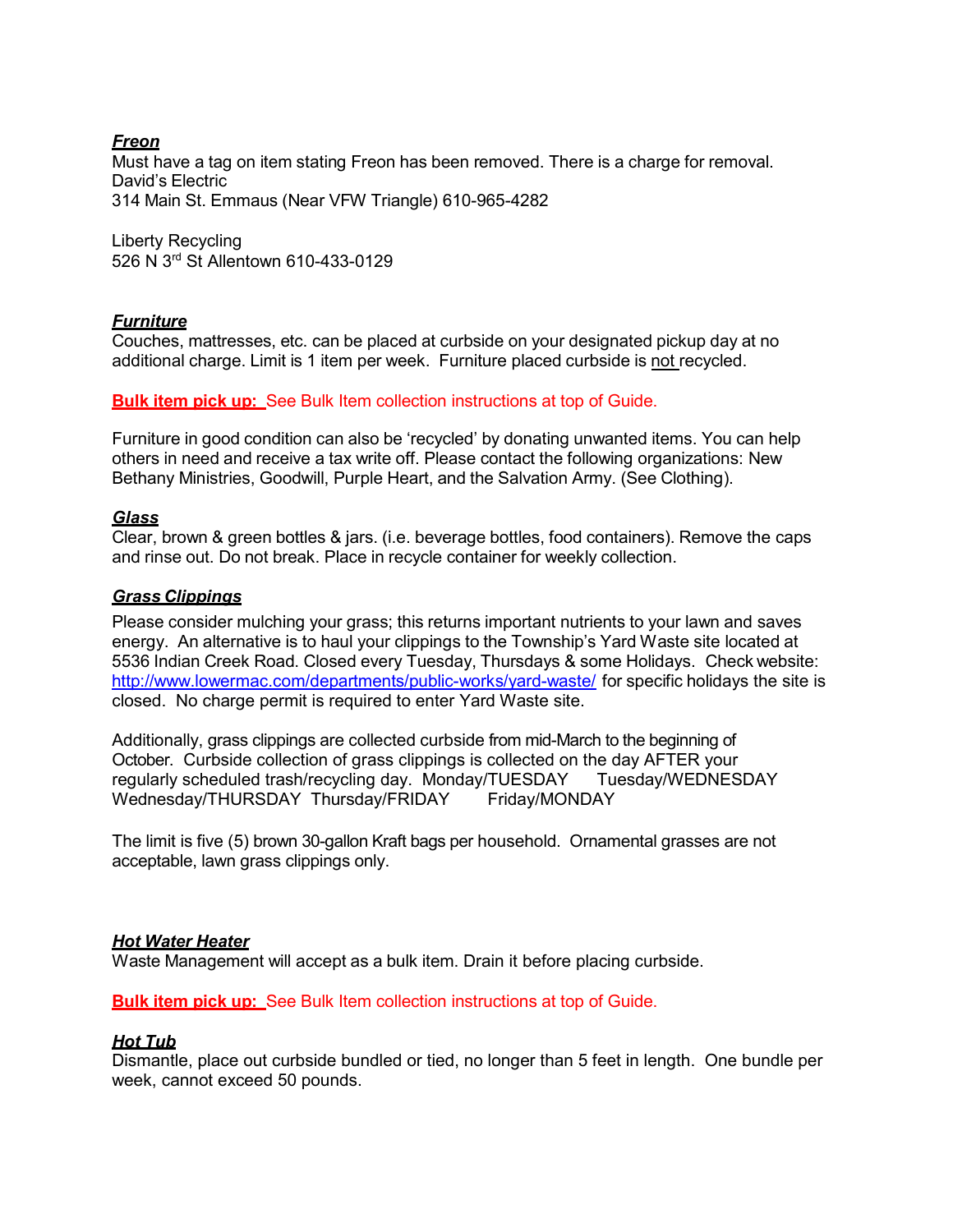# *Freon*

Must have a tag on item stating Freon has been removed. There is a charge for removal. David's Electric 314 Main St. Emmaus (Near VFW Triangle) 610-965-4282

Liberty Recycling 526 N 3rd St Allentown 610-433-0129

# *Furniture*

Couches, mattresses, etc. can be placed at curbside on your designated pickup day at no additional charge. Limit is 1 item per week. Furniture placed curbside is not recycled.

# **Bulk item pick up:** See Bulk Item collection instructions at top of Guide.

Furniture in good condition can also be 'recycled' by donating unwanted items. You can help others in need and receive a tax write off. Please contact the following organizations: New Bethany Ministries, Goodwill, Purple Heart, and the Salvation Army. (See Clothing).

# *Glass*

Clear, brown & green bottles & jars. (i.e. beverage bottles, food containers). Remove the caps and rinse out. Do not break. Place in recycle container for weekly collection.

# *Grass Clippings*

Please consider mulching your grass; this returns important nutrients to your lawn and saves energy. An alternative is to haul your clippings to the Township's Yard Waste site located at 5536 Indian Creek Road. Closed every Tuesday, Thursdays & some Holidays. Check website: <http://www.lowermac.com/departments/public-works/yard-waste/> for specific holidays the site is closed. No charge permit is required to enter Yard Waste site.

Additionally, grass clippings are collected curbside from mid-March to the beginning of October. Curbside collection of grass clippings is collected on the day AFTER your regularly scheduled trash/recycling day. Monday/TUESDAY Tuesday/WEDNESDAY Wednesday/THURSDAY Thursday/FRIDAY Friday/MONDAY

The limit is five (5) brown 30-gallon Kraft bags per household. Ornamental grasses are not acceptable, lawn grass clippings only.

## *Hot Water Heater*

Waste Management will accept as a bulk item. Drain it before placing curbside.

**Bulk item pick up:** See Bulk Item collection instructions at top of Guide.

## *Hot Tub*

Dismantle, place out curbside bundled or tied, no longer than 5 feet in length. One bundle per week, cannot exceed 50 pounds.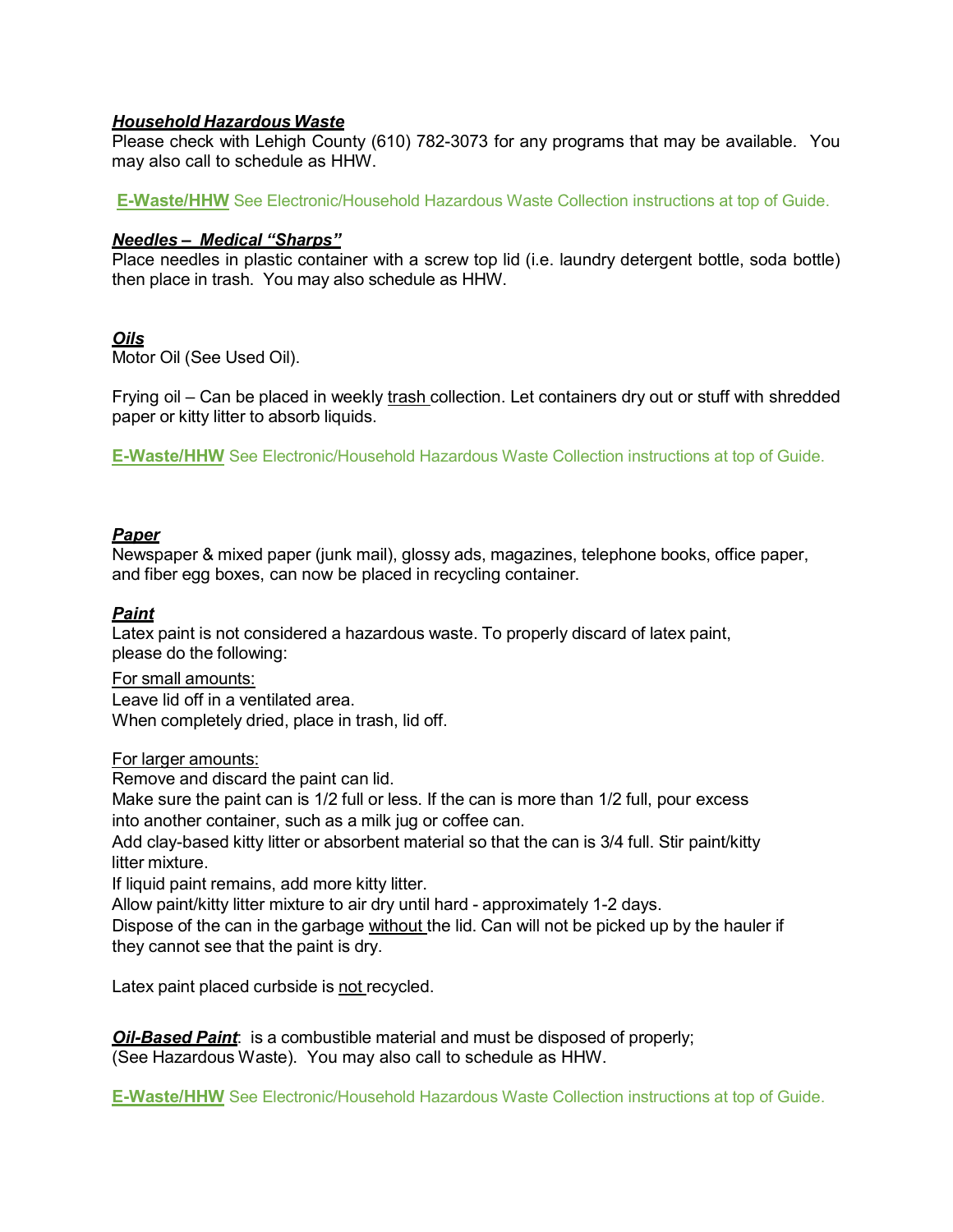# *Household Hazardous Waste*

Please check with Lehigh County (610) 782-3073 for any programs that may be available. You may also call to schedule as HHW.

**E-Waste/HHW** See Electronic/Household Hazardous Waste Collection instructions at top of Guide.

# *Needles – Medical "Sharps"*

Place needles in plastic container with a screw top lid (i.e. laundry detergent bottle, soda bottle) then place in trash. You may also schedule as HHW.

# *Oils*

Motor Oil (See Used Oil).

Frying oil – Can be placed in weekly trash collection. Let containers dry out or stuff with shredded paper or kitty litter to absorb liquids.

**E-Waste/HHW** See Electronic/Household Hazardous Waste Collection instructions at top of Guide.

# *Paper*

Newspaper & mixed paper (junk mail), glossy ads, magazines, telephone books, office paper, and fiber egg boxes, can now be placed in recycling container.

# *Paint*

Latex paint is not considered a hazardous waste. To properly discard of latex paint, please do the following:

For small amounts: Leave lid off in a ventilated area. When completely dried, place in trash, lid off.

## For larger amounts:

Remove and discard the paint can lid.

Make sure the paint can is 1/2 full or less. If the can is more than 1/2 full, pour excess into another container, such as a milk jug or coffee can.

Add clay-based kitty litter or absorbent material so that the can is 3/4 full. Stir paint/kitty litter mixture.

If liquid paint remains, add more kitty litter.

Allow paint/kitty litter mixture to air dry until hard - approximately 1-2 days.

Dispose of the can in the garbage without the lid. Can will not be picked up by the hauler if they cannot see that the paint is dry.

Latex paint placed curbside is not recycled.

*Oil-Based Paint*: is a combustible material and must be disposed of properly; (See Hazardous Waste). You may also call to schedule as HHW.

**E-Waste/HHW** See Electronic/Household Hazardous Waste Collection instructions at top of Guide.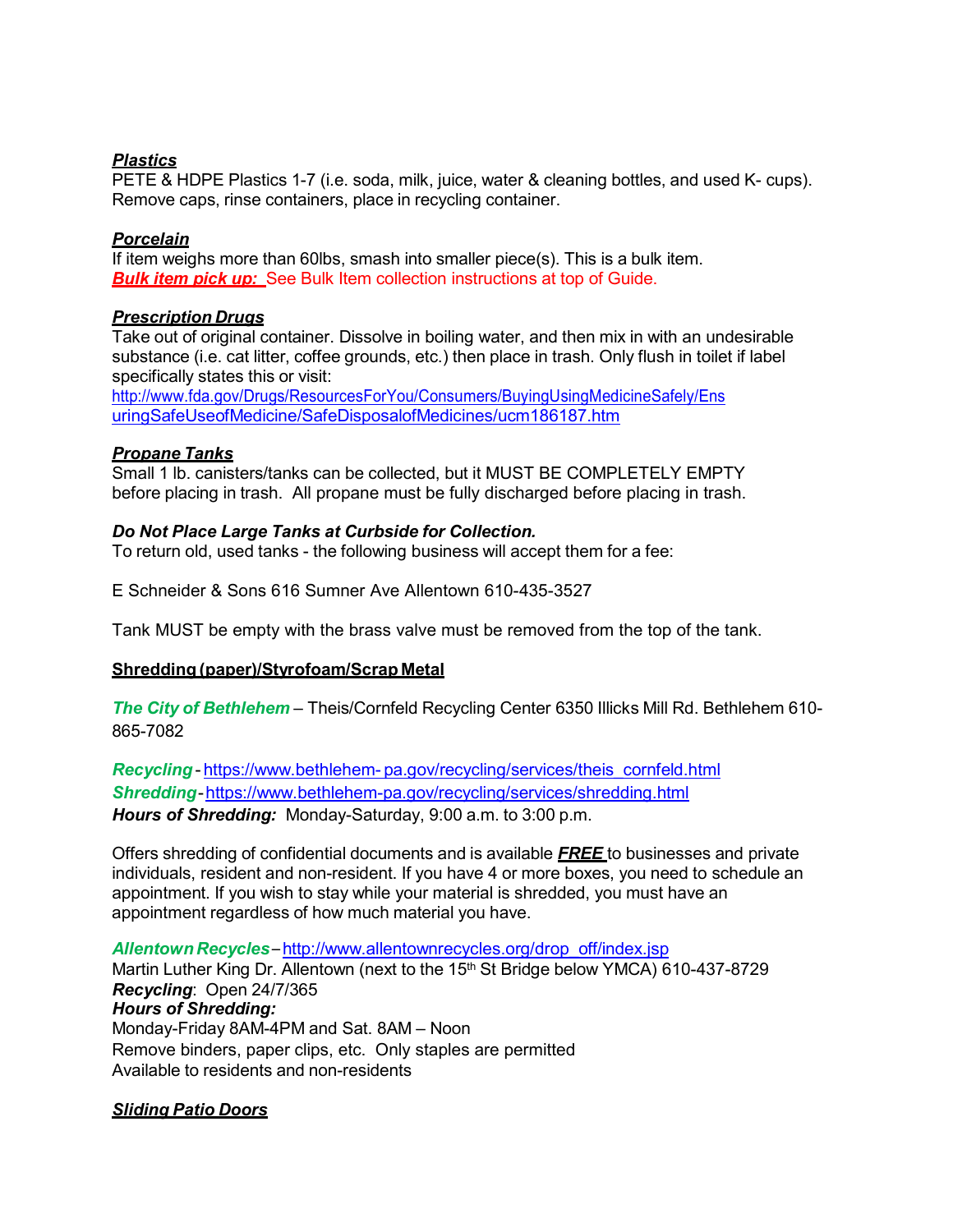# *Plastics*

PETE & HDPE Plastics 1-7 (i.e. soda, milk, juice, water & cleaning bottles, and used K- cups). Remove caps, rinse containers, place in recycling container.

# *Porcelain*

If item weighs more than 60lbs, smash into smaller piece(s). This is a bulk item. *Bulk item pick up:* See Bulk Item collection instructions at top of Guide.

# *Prescription Drugs*

Take out of original container. Dissolve in boiling water, and then mix in with an undesirable substance (i.e. cat litter, coffee grounds, etc.) then place in trash. Only flush in toilet if label specifically states this or visit:

<http://www.fda.gov/Drugs/ResourcesForYou/Consumers/BuyingUsingMedicineSafely/Ens> uringSafeUseofMedicine/SafeDisposalofMedicines/ucm186187.htm

# *Propane Tanks*

Small 1 lb. canisters/tanks can be collected, but it MUST BE COMPLETELY EMPTY before placing in trash. All propane must be fully discharged before placing in trash.

# *Do Not Place Large Tanks at Curbside for Collection.*

To return old, used tanks - the following business will accept them for a fee:

E Schneider & Sons 616 Sumner Ave Allentown 610-435-3527

Tank MUST be empty with the brass valve must be removed from the top of the tank.

# **Shredding (paper)/Styrofoam/Scrap Metal**

*The City of Bethlehem* – Theis/Cornfeld Recycling Center 6350 Illicks Mill Rd. Bethlehem 610- 865-7082

*Recycling*- https://www.bethlehem- pa.gov/recycling/services/theis\_cornfeld.html *Shredding*[-https://www.bethlehem-pa.gov/recycling/services/shredding.h](http://www.bethlehem-pa.gov/recycling/services/shredding.html)tml *Hours of Shredding:* Monday-Saturday, 9:00 a.m. to 3:00 p.m.

Offers shredding of confidential documents and is available *FREE* to businesses and private individuals, resident and non-resident. If you have 4 or more boxes, you need to schedule an appointment. If you wish to stay while your material is shredded, you must have an appointment regardless of how much material you have.

Allentown Recycles-[http://www.allentownrecycles.org/drop\\_off/index.jsp](http://www.allentownrecycles.org/drop_off/index.jsp) Martin Luther King Dr. Allentown (next to the 15<sup>th</sup> St Bridge below YMCA) 610-437-8729 *Recycling*: Open 24/7/365 *Hours of Shredding:* Monday-Friday 8AM-4PM and Sat. 8AM – Noon Remove binders, paper clips, etc. Only staples are permitted Available to residents and non-residents

# *Sliding Patio Doors*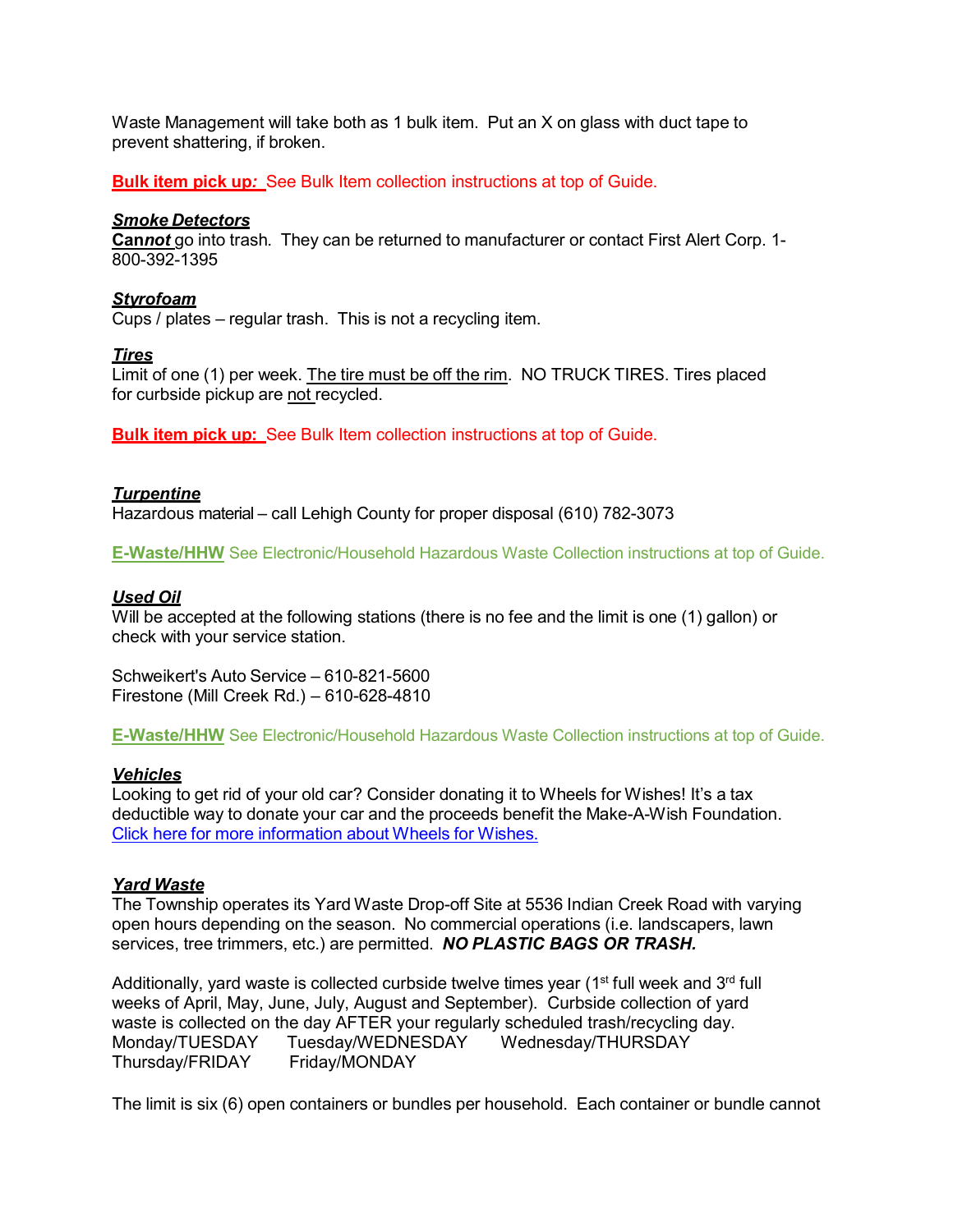Waste Management will take both as 1 bulk item. Put an X on glass with duct tape to prevent shattering, if broken.

**Bulk item pick up***:* See Bulk Item collection instructions at top of Guide.

## *Smoke Detectors*

**Can***not* go into trash. They can be returned to manufacturer or contact First Alert Corp. 1- 800-392-1395

# *Styrofoam*

Cups / plates – regular trash. This is not a recycling item.

# *Tires*

Limit of one (1) per week. The tire must be off the rim. NO TRUCK TIRES. Tires placed for curbside pickup are not recycled.

**Bulk item pick up:** See Bulk Item collection instructions at top of Guide.

# *Turpentine*

Hazardous material – call Lehigh County for proper disposal (610) 782-3073

**E-Waste/HHW** See Electronic/Household Hazardous Waste Collection instructions at top of Guide.

# *Used Oil*

Will be accepted at the following stations (there is no fee and the limit is one (1) gallon) or check with your service station.

Schweikert's Auto Service – 610-821-5600 Firestone (Mill Creek Rd.) – 610-628-4810

**E-Waste/HHW** See Electronic/Household Hazardous Waste Collection instructions at top of Guide.

# *Vehicles*

Looking to get rid of your old car? Consider donating it to Wheels for Wishes! It's a tax deductible way to donate your car and the proceeds benefit the Make-A-Wish Foundation. Click here for more information about Wheels for Wishes.

# *Yard Waste*

The Township operates its Yard Waste Drop-off Site at 5536 Indian Creek Road with varying open hours depending on the season. No commercial operations (i.e. landscapers, lawn services, tree trimmers, etc.) are permitted. *NO PLASTIC BAGS OR TRASH.*

Additionally, yard waste is collected curbside twelve times year ( $1<sup>st</sup>$  full week and  $3<sup>rd</sup>$  full weeks of April, May, June, July, August and September). Curbside collection of yard waste is collected on the day AFTER your regularly scheduled trash/recycling day. Monday/TUESDAY Tuesday/WEDNESDAY Wednesday/THURSDAY Thursday/FRIDAY Friday/MONDAY

The limit is six (6) open containers or bundles per household. Each container or bundle cannot